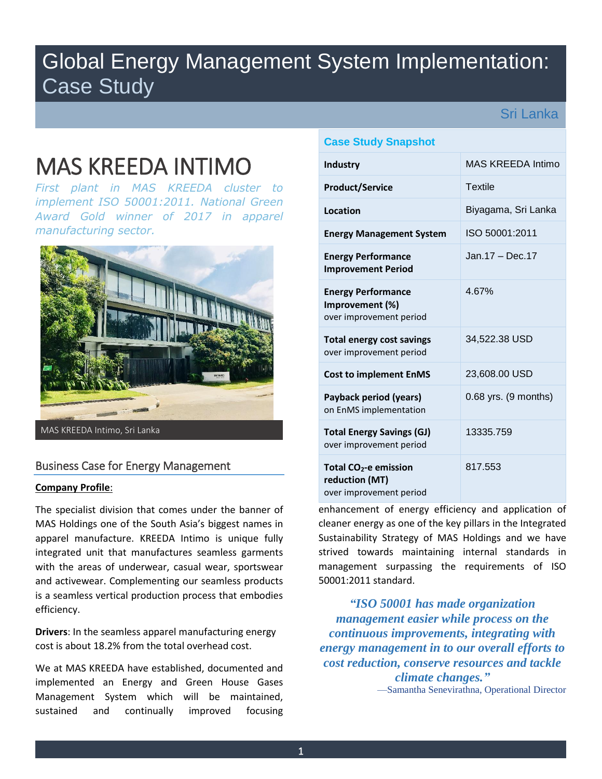# Global Energy Management System Implementation: Case Study

Sri Lanka

# MAS KREEDA INTIMO

*First plant in MAS KREEDA cluster to implement ISO 50001:2011. National Green Award Gold winner of 2017 in apparel manufacturing sector.* 



MAS KREEDA Intimo, Sri Lanka

# Business Case for Energy Management

#### **Company Profile**:

The specialist division that comes under the banner of MAS Holdings one of the South Asia's biggest names in apparel manufacture. KREEDA Intimo is unique fully integrated unit that manufactures seamless garments with the areas of underwear, casual wear, sportswear and activewear. Complementing our seamless products is a seamless vertical production process that embodies efficiency.

**Drivers**: In the seamless apparel manufacturing energy cost is about 18.2% from the total overhead cost.

We at MAS KREEDA have established, documented and implemented an Energy and Green House Gases Management System which will be maintained, sustained and continually improved focusing

## **Case Study Snapshot**

| <b>Industry</b>                                                         | MAS KREEDA Intimo    |
|-------------------------------------------------------------------------|----------------------|
| <b>Product/Service</b>                                                  | <b>Textile</b>       |
| Location                                                                | Biyagama, Sri Lanka  |
| <b>Energy Management System</b>                                         | ISO 50001:2011       |
| <b>Energy Performance</b><br><b>Improvement Period</b>                  | Jan.17 - Dec.17      |
| <b>Energy Performance</b><br>Improvement (%)<br>over improvement period | 4.67%                |
| <b>Total energy cost savings</b><br>over improvement period             | 34,522.38 USD        |
| <b>Cost to implement EnMS</b>                                           | 23,608.00 USD        |
| Payback period (years)<br>on EnMS implementation                        | 0.68 yrs. (9 months) |
| <b>Total Energy Savings (GJ)</b><br>over improvement period             | 13335.759            |
| Total $CO2$ -e emission<br>reduction (MT)<br>over improvement period    | 817.553              |

enhancement of energy efficiency and application of cleaner energy as one of the key pillars in the Integrated Sustainability Strategy of MAS Holdings and we have strived towards maintaining internal standards in management surpassing the requirements of ISO 50001:2011 standard.

*"ISO 50001 has made organization management easier while process on the continuous improvements, integrating with energy management in to our overall efforts to cost reduction, conserve resources and tackle climate changes."*

—Samantha Senevirathna, Operational Director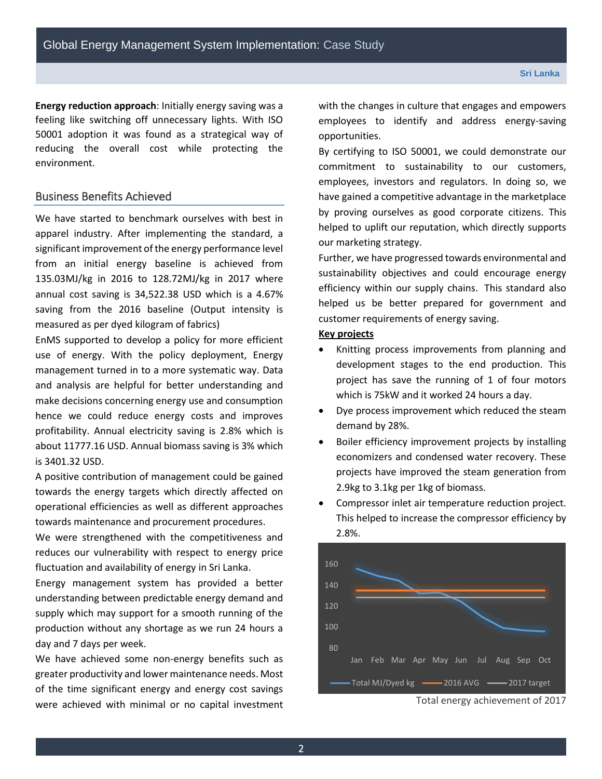**Energy reduction approach**: Initially energy saving was a feeling like switching off unnecessary lights. With ISO 50001 adoption it was found as a strategical way of reducing the overall cost while protecting the environment.

## Business Benefits Achieved

We have started to benchmark ourselves with best in apparel industry. After implementing the standard, a significant improvement of the energy performance level from an initial energy baseline is achieved from 135.03MJ/kg in 2016 to 128.72MJ/kg in 2017 where annual cost saving is 34,522.38 USD which is a 4.67% saving from the 2016 baseline (Output intensity is measured as per dyed kilogram of fabrics)

EnMS supported to develop a policy for more efficient use of energy. With the policy deployment, Energy management turned in to a more systematic way. Data and analysis are helpful for better understanding and make decisions concerning energy use and consumption hence we could reduce energy costs and improves profitability. Annual electricity saving is 2.8% which is about 11777.16 USD. Annual biomass saving is 3% which is 3401.32 USD.

A positive contribution of management could be gained towards the energy targets which directly affected on operational efficiencies as well as different approaches towards maintenance and procurement procedures.

We were strengthened with the competitiveness and reduces our vulnerability with respect to energy price fluctuation and availability of energy in Sri Lanka.

Energy management system has provided a better understanding between predictable energy demand and supply which may support for a smooth running of the production without any shortage as we run 24 hours a day and 7 days per week.

We have achieved some non-energy benefits such as greater productivity and lower maintenance needs. Most of the time significant energy and energy cost savings were achieved with minimal or no capital investment with the changes in culture that engages and empowers employees to identify and address energy-saving opportunities.

By certifying to ISO 50001, we could demonstrate our commitment to sustainability to our customers, employees, investors and regulators. In doing so, we have gained a competitive advantage in the marketplace by proving ourselves as good corporate citizens. This helped to uplift our reputation, which directly supports our marketing strategy.

Further, we have progressed towards environmental and sustainability objectives and could encourage energy efficiency within our supply chains. This standard also helped us be better prepared for government and customer requirements of energy saving.

#### **Key projects**

- Knitting process improvements from planning and development stages to the end production. This project has save the running of 1 of four motors which is 75kW and it worked 24 hours a day.
- Dye process improvement which reduced the steam demand by 28%.
- Boiler efficiency improvement projects by installing economizers and condensed water recovery. These projects have improved the steam generation from 2.9kg to 3.1kg per 1kg of biomass.
- Compressor inlet air temperature reduction project. This helped to increase the compressor efficiency by 2.8%.



Total energy achievement of 2017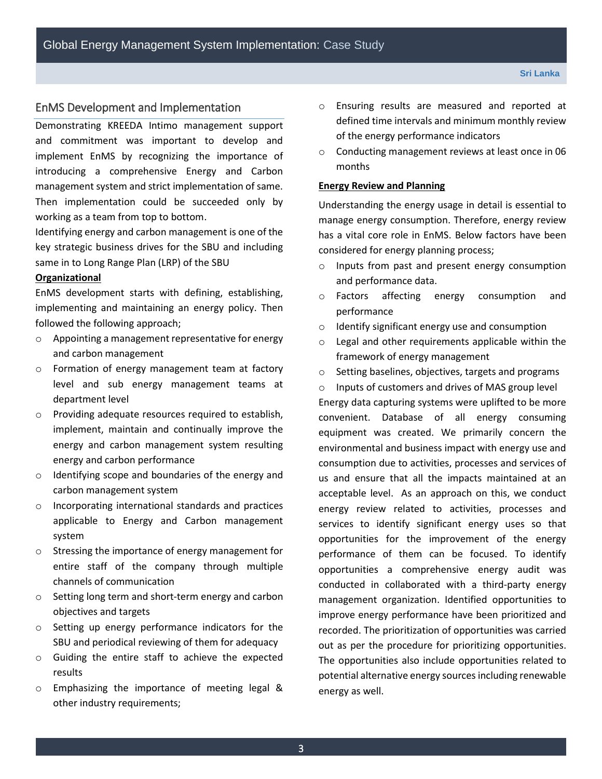#### EnMS Development and Implementation

Demonstrating KREEDA Intimo management support and commitment was important to develop and implement EnMS by recognizing the importance of introducing a comprehensive Energy and Carbon management system and strict implementation of same. Then implementation could be succeeded only by working as a team from top to bottom.

Identifying energy and carbon management is one of the key strategic business drives for the SBU and including same in to Long Range Plan (LRP) of the SBU

#### **Organizational**

EnMS development starts with defining, establishing, implementing and maintaining an energy policy. Then followed the following approach;

- o Appointing a management representative for energy and carbon management
- o Formation of energy management team at factory level and sub energy management teams at department level
- o Providing adequate resources required to establish, implement, maintain and continually improve the energy and carbon management system resulting energy and carbon performance
- o Identifying scope and boundaries of the energy and carbon management system
- o Incorporating international standards and practices applicable to Energy and Carbon management system
- o Stressing the importance of energy management for entire staff of the company through multiple channels of communication
- o Setting long term and short-term energy and carbon objectives and targets
- o Setting up energy performance indicators for the SBU and periodical reviewing of them for adequacy
- o Guiding the entire staff to achieve the expected results
- o Emphasizing the importance of meeting legal & other industry requirements;
- o Ensuring results are measured and reported at defined time intervals and minimum monthly review of the energy performance indicators
- o Conducting management reviews at least once in 06 months

#### **Energy Review and Planning**

Understanding the energy usage in detail is essential to manage energy consumption. Therefore, energy review has a vital core role in EnMS. Below factors have been considered for energy planning process;

- o Inputs from past and present energy consumption and performance data.
- o Factors affecting energy consumption and performance
- o Identify significant energy use and consumption
- o Legal and other requirements applicable within the framework of energy management
- o Setting baselines, objectives, targets and programs

o Inputs of customers and drives of MAS group level Energy data capturing systems were uplifted to be more convenient. Database of all energy consuming equipment was created. We primarily concern the environmental and business impact with energy use and consumption due to activities, processes and services of us and ensure that all the impacts maintained at an acceptable level. As an approach on this, we conduct energy review related to activities, processes and services to identify significant energy uses so that opportunities for the improvement of the energy performance of them can be focused. To identify opportunities a comprehensive energy audit was conducted in collaborated with a third-party energy management organization. Identified opportunities to improve energy performance have been prioritized and recorded. The prioritization of opportunities was carried out as per the procedure for prioritizing opportunities. The opportunities also include opportunities related to potential alternative energy sources including renewable energy as well.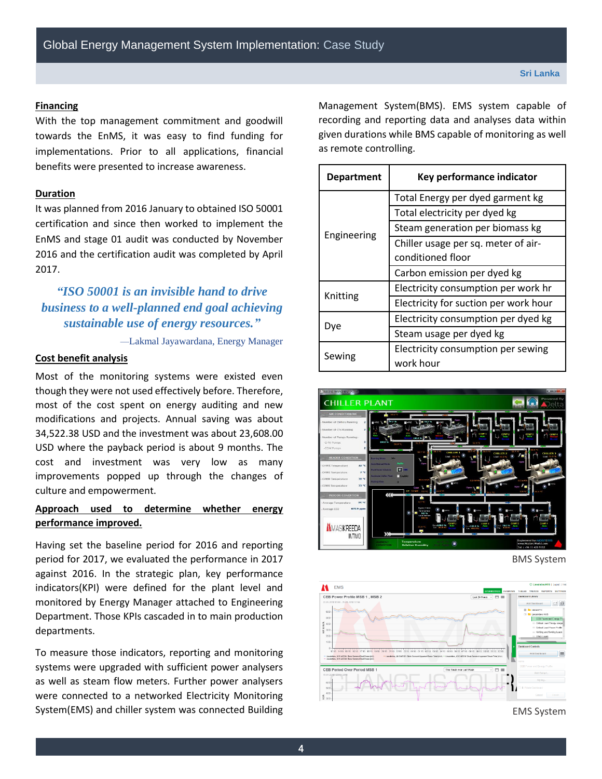#### **Financing**

With the top management commitment and goodwill towards the EnMS, it was easy to find funding for implementations. Prior to all applications, financial benefits were presented to increase awareness.

#### **Duration**

It was planned from 2016 January to obtained ISO 50001 certification and since then worked to implement the EnMS and stage 01 audit was conducted by November 2016 and the certification audit was completed by April 2017.

# *"ISO 50001 is an invisible hand to drive business to a well-planned end goal achieving sustainable use of energy resources."*

—Lakmal Jayawardana, Energy Manager

#### **Cost benefit analysis**

Most of the monitoring systems were existed even though they were not used effectively before. Therefore, most of the cost spent on energy auditing and new modifications and projects. Annual saving was about 34,522.38 USD and the investment was about 23,608.00 USD where the payback period is about 9 months. The cost and investment was very low as many improvements popped up through the changes of culture and empowerment.

# **Approach used to determine whether energy performance improved.**

Having set the baseline period for 2016 and reporting period for 2017, we evaluated the performance in 2017 against 2016. In the strategic plan, key performance indicators(KPI) were defined for the plant level and monitored by Energy Manager attached to Engineering Department. Those KPIs cascaded in to main production departments.

To measure those indicators, reporting and monitoring systems were upgraded with sufficient power analysers as well as steam flow meters. Further power analysers were connected to a networked Electricity Monitoring System(EMS) and chiller system was connected Building Management System(BMS). EMS system capable of recording and reporting data and analyses data within given durations while BMS capable of monitoring as well as remote controlling.

| <b>Department</b> | Key performance indicator                       |
|-------------------|-------------------------------------------------|
| Engineering       | Total Energy per dyed garment kg                |
|                   | Total electricity per dyed kg                   |
|                   | Steam generation per biomass kg                 |
|                   | Chiller usage per sq. meter of air-             |
|                   | conditioned floor                               |
|                   | Carbon emission per dyed kg                     |
| Knitting          | Electricity consumption per work hr             |
|                   | Electricity for suction per work hour           |
| Dve               | Electricity consumption per dyed kg             |
|                   | Steam usage per dyed kg                         |
| Sewing            | Electricity consumption per sewing<br>work hour |



BMS System



EMS System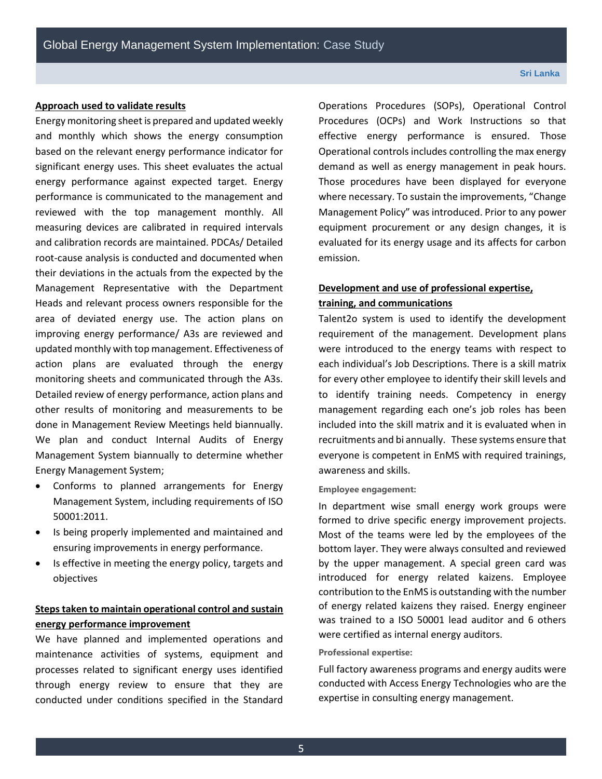#### **Sri Lanka**

#### **Approach used to validate results**

Energy monitoring sheet is prepared and updated weekly and monthly which shows the energy consumption based on the relevant energy performance indicator for significant energy uses. This sheet evaluates the actual energy performance against expected target. Energy performance is communicated to the management and reviewed with the top management monthly. All measuring devices are calibrated in required intervals and calibration records are maintained. PDCAs/ Detailed root-cause analysis is conducted and documented when their deviations in the actuals from the expected by the Management Representative with the Department Heads and relevant process owners responsible for the area of deviated energy use. The action plans on improving energy performance/ A3s are reviewed and updated monthly with top management. Effectiveness of action plans are evaluated through the energy monitoring sheets and communicated through the A3s. Detailed review of energy performance, action plans and other results of monitoring and measurements to be done in Management Review Meetings held biannually. We plan and conduct Internal Audits of Energy Management System biannually to determine whether Energy Management System;

- Conforms to planned arrangements for Energy Management System, including requirements of ISO 50001:2011.
- Is being properly implemented and maintained and ensuring improvements in energy performance.
- Is effective in meeting the energy policy, targets and objectives

# **Steps taken to maintain operational control and sustain energy performance improvement**

We have planned and implemented operations and maintenance activities of systems, equipment and processes related to significant energy uses identified through energy review to ensure that they are conducted under conditions specified in the Standard Operations Procedures (SOPs), Operational Control Procedures (OCPs) and Work Instructions so that effective energy performance is ensured. Those Operational controls includes controlling the max energy demand as well as energy management in peak hours. Those procedures have been displayed for everyone where necessary. To sustain the improvements, "Change Management Policy" was introduced. Prior to any power equipment procurement or any design changes, it is evaluated for its energy usage and its affects for carbon emission.

# **Development and use of professional expertise, training, and communications**

Talent2o system is used to identify the development requirement of the management. Development plans were introduced to the energy teams with respect to each individual's Job Descriptions. There is a skill matrix for every other employee to identify their skill levels and to identify training needs. Competency in energy management regarding each one's job roles has been included into the skill matrix and it is evaluated when in recruitments and bi annually. These systems ensure that everyone is competent in EnMS with required trainings, awareness and skills.

#### **Employee engagement:**

In department wise small energy work groups were formed to drive specific energy improvement projects. Most of the teams were led by the employees of the bottom layer. They were always consulted and reviewed by the upper management. A special green card was introduced for energy related kaizens. Employee contribution to the EnMS is outstanding with the number of energy related kaizens they raised. Energy engineer was trained to a ISO 50001 lead auditor and 6 others were certified as internal energy auditors.

#### **Professional expertise:**

Full factory awareness programs and energy audits were conducted with Access Energy Technologies who are the expertise in consulting energy management.